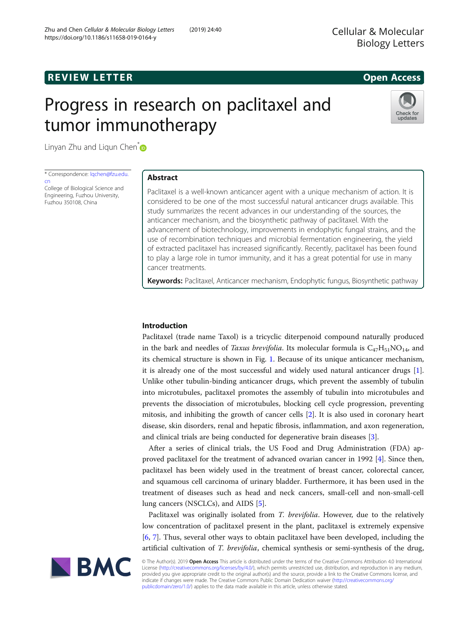## **REVIEW LETTER** And the set of the set of the set of the set of the set of the set of the set of the set of the set of the set of the set of the set of the set of the set of the set of the set of the set of the set of the

# Progress in research on paclitaxel and tumor immunotherapy



Linyan Zhu and Liqun Chen<sup>[\\*](http://orcid.org/0000-0002-2802-3090)</sup>®

\* Correspondence: [lqchen@fzu.edu.](mailto:lqchen@fzu.edu.cn) [cn](mailto:lqchen@fzu.edu.cn)

College of Biological Science and Engineering, Fuzhou University, Fuzhou 350108, China

### Abstract

Paclitaxel is a well-known anticancer agent with a unique mechanism of action. It is considered to be one of the most successful natural anticancer drugs available. This study summarizes the recent advances in our understanding of the sources, the anticancer mechanism, and the biosynthetic pathway of paclitaxel. With the advancement of biotechnology, improvements in endophytic fungal strains, and the use of recombination techniques and microbial fermentation engineering, the yield of extracted paclitaxel has increased significantly. Recently, paclitaxel has been found to play a large role in tumor immunity, and it has a great potential for use in many cancer treatments.

Keywords: Paclitaxel, Anticancer mechanism, Endophytic fungus, Biosynthetic pathway

#### Introduction

Paclitaxel (trade name Taxol) is a tricyclic diterpenoid compound naturally produced in the bark and needles of *Taxus brevifolia*. Its molecular formula is  $C_{47}H_{51}NO_{14}$ , and its chemical structure is shown in Fig. [1.](#page-1-0) Because of its unique anticancer mechanism, it is already one of the most successful and widely used natural anticancer drugs [\[1](#page-8-0)]. Unlike other tubulin-binding anticancer drugs, which prevent the assembly of tubulin into microtubules, paclitaxel promotes the assembly of tubulin into microtubules and prevents the dissociation of microtubules, blocking cell cycle progression, preventing mitosis, and inhibiting the growth of cancer cells [[2\]](#page-8-0). It is also used in coronary heart disease, skin disorders, renal and hepatic fibrosis, inflammation, and axon regeneration, and clinical trials are being conducted for degenerative brain diseases [\[3\]](#page-8-0).

After a series of clinical trials, the US Food and Drug Administration (FDA) approved paclitaxel for the treatment of advanced ovarian cancer in 1992 [[4\]](#page-8-0). Since then, paclitaxel has been widely used in the treatment of breast cancer, colorectal cancer, and squamous cell carcinoma of urinary bladder. Furthermore, it has been used in the treatment of diseases such as head and neck cancers, small-cell and non-small-cell lung cancers (NSCLCs), and AIDS [\[5](#page-8-0)].

Paclitaxel was originally isolated from *T. brevifolia*. However, due to the relatively low concentration of paclitaxel present in the plant, paclitaxel is extremely expensive [[6,](#page-8-0) [7\]](#page-8-0). Thus, several other ways to obtain paclitaxel have been developed, including the artificial cultivation of T. brevifolia, chemical synthesis or semi-synthesis of the drug,



© The Author(s). 2019 Open Access This article is distributed under the terms of the Creative Commons Attribution 4.0 International License ([http://creativecommons.org/licenses/by/4.0/\)](http://creativecommons.org/licenses/by/4.0/), which permits unrestricted use, distribution, and reproduction in any medium, provided you give appropriate credit to the original author(s) and the source, provide a link to the Creative Commons license, and indicate if changes were made. The Creative Commons Public Domain Dedication waiver ([http://creativecommons.org/](http://creativecommons.org/publicdomain/zero/1.0/) [publicdomain/zero/1.0/\)](http://creativecommons.org/publicdomain/zero/1.0/) applies to the data made available in this article, unless otherwise stated.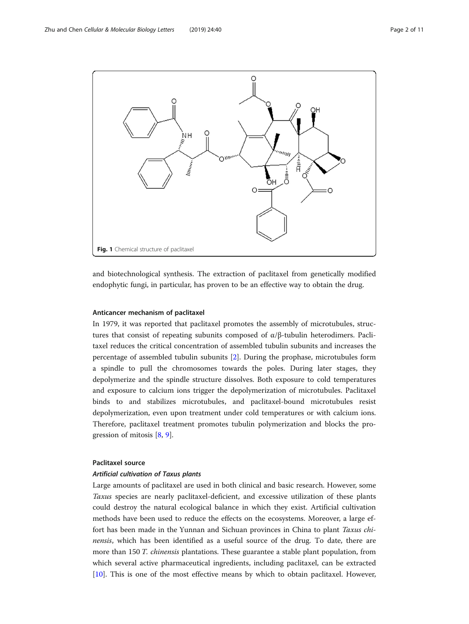<span id="page-1-0"></span>

and biotechnological synthesis. The extraction of paclitaxel from genetically modified endophytic fungi, in particular, has proven to be an effective way to obtain the drug.

#### Anticancer mechanism of paclitaxel

In 1979, it was reported that paclitaxel promotes the assembly of microtubules, structures that consist of repeating subunits composed of  $\alpha/\beta$ -tubulin heterodimers. Paclitaxel reduces the critical concentration of assembled tubulin subunits and increases the percentage of assembled tubulin subunits [[2\]](#page-8-0). During the prophase, microtubules form a spindle to pull the chromosomes towards the poles. During later stages, they depolymerize and the spindle structure dissolves. Both exposure to cold temperatures and exposure to calcium ions trigger the depolymerization of microtubules. Paclitaxel binds to and stabilizes microtubules, and paclitaxel-bound microtubules resist depolymerization, even upon treatment under cold temperatures or with calcium ions. Therefore, paclitaxel treatment promotes tubulin polymerization and blocks the progression of mitosis [\[8](#page-9-0), [9](#page-9-0)].

#### Paclitaxel source

#### Artificial cultivation of Taxus plants

Large amounts of paclitaxel are used in both clinical and basic research. However, some Taxus species are nearly paclitaxel-deficient, and excessive utilization of these plants could destroy the natural ecological balance in which they exist. Artificial cultivation methods have been used to reduce the effects on the ecosystems. Moreover, a large effort has been made in the Yunnan and Sichuan provinces in China to plant Taxus chinensis, which has been identified as a useful source of the drug. To date, there are more than 150 T. chinensis plantations. These guarantee a stable plant population, from which several active pharmaceutical ingredients, including paclitaxel, can be extracted [[10\]](#page-9-0). This is one of the most effective means by which to obtain paclitaxel. However,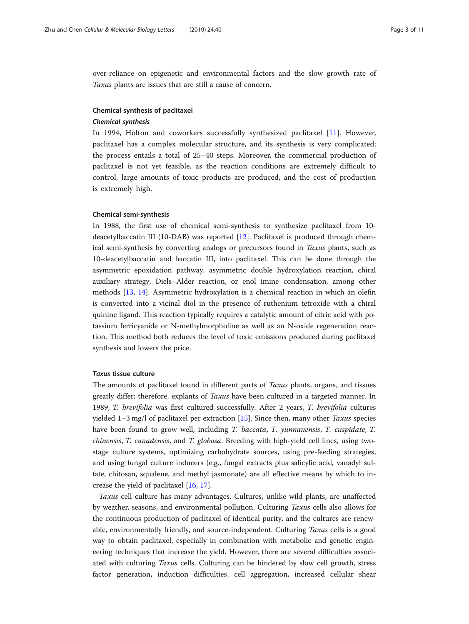over-reliance on epigenetic and environmental factors and the slow growth rate of Taxus plants are issues that are still a cause of concern.

#### Chemical synthesis of paclitaxel

#### Chemical synthesis

In 1994, Holton and coworkers successfully synthesized paclitaxel [\[11](#page-9-0)]. However, paclitaxel has a complex molecular structure, and its synthesis is very complicated; the process entails a total of 25–40 steps. Moreover, the commercial production of paclitaxel is not yet feasible, as the reaction conditions are extremely difficult to control, large amounts of toxic products are produced, and the cost of production is extremely high.

#### Chemical semi-synthesis

In 1988, the first use of chemical semi-synthesis to synthesize paclitaxel from 10 deacetylbaccatin III (10-DAB) was reported [[12](#page-9-0)]. Paclitaxel is produced through chemical semi-synthesis by converting analogs or precursors found in Taxus plants, such as 10-deacetylbaccatin and baccatin III, into paclitaxel. This can be done through the asymmetric epoxidation pathway, asymmetric double hydroxylation reaction, chiral auxiliary strategy, Diels–Alder reaction, or enol imine condensation, among other methods [[13](#page-9-0), [14\]](#page-9-0). Asymmetric hydroxylation is a chemical reaction in which an olefin is converted into a vicinal diol in the presence of ruthenium tetroxide with a chiral quinine ligand. This reaction typically requires a catalytic amount of citric acid with potassium ferricyanide or N-methylmorpholine as well as an N-oxide regeneration reaction. This method both reduces the level of toxic emissions produced during paclitaxel synthesis and lowers the price.

#### Taxus tissue culture

The amounts of paclitaxel found in different parts of Taxus plants, organs, and tissues greatly differ; therefore, explants of *Taxus* have been cultured in a targeted manner. In 1989, T. brevifolia was first cultured successfully. After 2 years, T. brevifolia cultures yielded 1–3 mg/l of paclitaxel per extraction [\[15](#page-9-0)]. Since then, many other Taxus species have been found to grow well, including T. baccata, T. yunnanensis, T. cuspidate, T. chinensis, T. canadensis, and T. globosa. Breeding with high-yield cell lines, using twostage culture systems, optimizing carbohydrate sources, using pre-feeding strategies, and using fungal culture inducers (e.g., fungal extracts plus salicylic acid, vanadyl sulfate, chitosan, squalene, and methyl jasmonate) are all effective means by which to increase the yield of paclitaxel [\[16,](#page-9-0) [17\]](#page-9-0).

Taxus cell culture has many advantages. Cultures, unlike wild plants, are unaffected by weather, seasons, and environmental pollution. Culturing Taxus cells also allows for the continuous production of paclitaxel of identical purity, and the cultures are renewable, environmentally friendly, and source-independent. Culturing Taxus cells is a good way to obtain paclitaxel, especially in combination with metabolic and genetic engineering techniques that increase the yield. However, there are several difficulties associated with culturing Taxus cells. Culturing can be hindered by slow cell growth, stress factor generation, induction difficulties, cell aggregation, increased cellular shear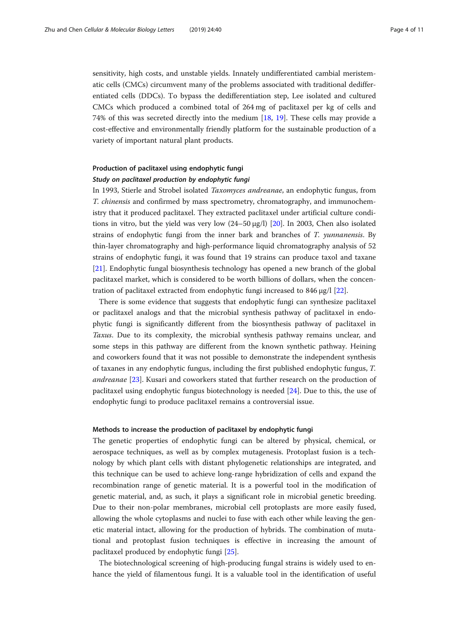sensitivity, high costs, and unstable yields. Innately undifferentiated cambial meristematic cells (CMCs) circumvent many of the problems associated with traditional dedifferentiated cells (DDCs). To bypass the dedifferentiation step, Lee isolated and cultured CMCs which produced a combined total of 264 mg of paclitaxel per kg of cells and 74% of this was secreted directly into the medium [[18,](#page-9-0) [19](#page-9-0)]. These cells may provide a cost-effective and environmentally friendly platform for the sustainable production of a variety of important natural plant products.

### Production of paclitaxel using endophytic fungi

#### Study on paclitaxel production by endophytic fungi

In 1993, Stierle and Strobel isolated Taxomyces andreanae, an endophytic fungus, from T. chinensis and confirmed by mass spectrometry, chromatography, and immunochemistry that it produced paclitaxel. They extracted paclitaxel under artificial culture conditions in vitro, but the yield was very low  $(24–50 \mu g/l)$  [\[20](#page-9-0)]. In 2003, Chen also isolated strains of endophytic fungi from the inner bark and branches of  $T$ . yunnanensis. By thin-layer chromatography and high-performance liquid chromatography analysis of 52 strains of endophytic fungi, it was found that 19 strains can produce taxol and taxane [[21\]](#page-9-0). Endophytic fungal biosynthesis technology has opened a new branch of the global paclitaxel market, which is considered to be worth billions of dollars, when the concentration of paclitaxel extracted from endophytic fungi increased to 846 μg/l [\[22](#page-9-0)].

There is some evidence that suggests that endophytic fungi can synthesize paclitaxel or paclitaxel analogs and that the microbial synthesis pathway of paclitaxel in endophytic fungi is significantly different from the biosynthesis pathway of paclitaxel in Taxus. Due to its complexity, the microbial synthesis pathway remains unclear, and some steps in this pathway are different from the known synthetic pathway. Heining and coworkers found that it was not possible to demonstrate the independent synthesis of taxanes in any endophytic fungus, including the first published endophytic fungus, T. andreanae [\[23](#page-9-0)]. Kusari and coworkers stated that further research on the production of paclitaxel using endophytic fungus biotechnology is needed [[24\]](#page-9-0). Due to this, the use of endophytic fungi to produce paclitaxel remains a controversial issue.

#### Methods to increase the production of paclitaxel by endophytic fungi

The genetic properties of endophytic fungi can be altered by physical, chemical, or aerospace techniques, as well as by complex mutagenesis. Protoplast fusion is a technology by which plant cells with distant phylogenetic relationships are integrated, and this technique can be used to achieve long-range hybridization of cells and expand the recombination range of genetic material. It is a powerful tool in the modification of genetic material, and, as such, it plays a significant role in microbial genetic breeding. Due to their non-polar membranes, microbial cell protoplasts are more easily fused, allowing the whole cytoplasms and nuclei to fuse with each other while leaving the genetic material intact, allowing for the production of hybrids. The combination of mutational and protoplast fusion techniques is effective in increasing the amount of paclitaxel produced by endophytic fungi [\[25\]](#page-9-0).

The biotechnological screening of high-producing fungal strains is widely used to enhance the yield of filamentous fungi. It is a valuable tool in the identification of useful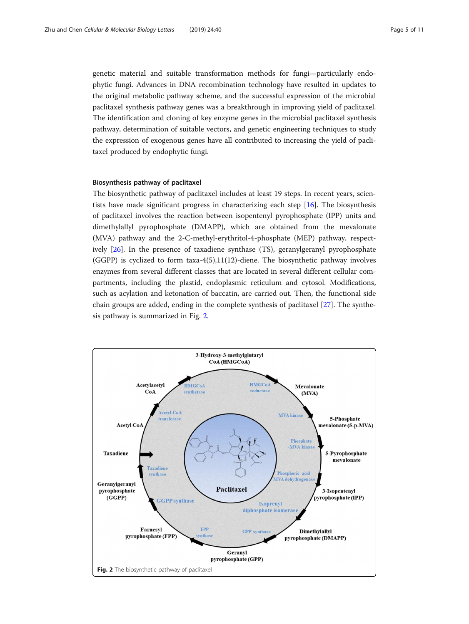genetic material and suitable transformation methods for fungi—particularly endophytic fungi. Advances in DNA recombination technology have resulted in updates to the original metabolic pathway scheme, and the successful expression of the microbial paclitaxel synthesis pathway genes was a breakthrough in improving yield of paclitaxel. The identification and cloning of key enzyme genes in the microbial paclitaxel synthesis pathway, determination of suitable vectors, and genetic engineering techniques to study the expression of exogenous genes have all contributed to increasing the yield of paclitaxel produced by endophytic fungi.

#### Biosynthesis pathway of paclitaxel

The biosynthetic pathway of paclitaxel includes at least 19 steps. In recent years, scientists have made significant progress in characterizing each step [\[16](#page-9-0)]. The biosynthesis of paclitaxel involves the reaction between isopentenyl pyrophosphate (IPP) units and dimethylallyl pyrophosphate (DMAPP), which are obtained from the mevalonate (MVA) pathway and the 2-C-methyl-erythritol-4-phosphate (MEP) pathway, respectively [[26\]](#page-9-0). In the presence of taxadiene synthase (TS), geranylgeranyl pyrophosphate (GGPP) is cyclized to form taxa-4(5),11(12)-diene. The biosynthetic pathway involves enzymes from several different classes that are located in several different cellular compartments, including the plastid, endoplasmic reticulum and cytosol. Modifications, such as acylation and ketonation of baccatin, are carried out. Then, the functional side chain groups are added, ending in the complete synthesis of paclitaxel [[27](#page-9-0)]. The synthesis pathway is summarized in Fig. 2.

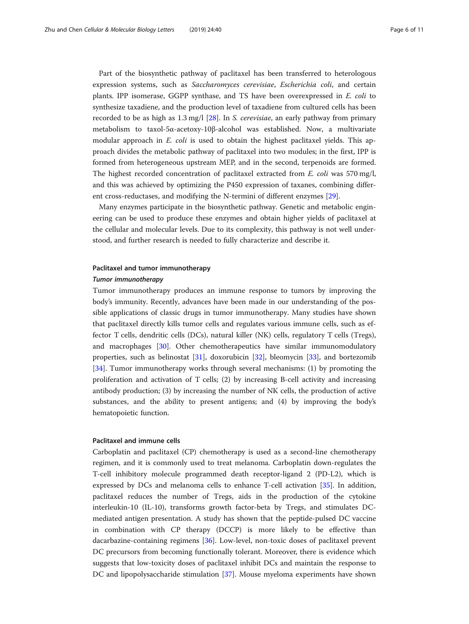Part of the biosynthetic pathway of paclitaxel has been transferred to heterologous expression systems, such as Saccharomyces cerevisiae, Escherichia coli, and certain plants. IPP isomerase, GGPP synthase, and TS have been overexpressed in E. coli to synthesize taxadiene, and the production level of taxadiene from cultured cells has been recorded to be as high as 1.3 mg/l [[28\]](#page-9-0). In S. cerevisiae, an early pathway from primary metabolism to taxol-5α-acetoxy-10β-alcohol was established. Now, a multivariate modular approach in  $E.$  coli is used to obtain the highest paclitaxel yields. This approach divides the metabolic pathway of paclitaxel into two modules; in the first, IPP is formed from heterogeneous upstream MEP, and in the second, terpenoids are formed. The highest recorded concentration of paclitaxel extracted from E. coli was 570 mg/l, and this was achieved by optimizing the P450 expression of taxanes, combining different cross-reductases, and modifying the N-termini of different enzymes [\[29\]](#page-9-0).

Many enzymes participate in the biosynthetic pathway. Genetic and metabolic engineering can be used to produce these enzymes and obtain higher yields of paclitaxel at the cellular and molecular levels. Due to its complexity, this pathway is not well understood, and further research is needed to fully characterize and describe it.

#### Paclitaxel and tumor immunotherapy

#### Tumor immunotherapy

Tumor immunotherapy produces an immune response to tumors by improving the body's immunity. Recently, advances have been made in our understanding of the possible applications of classic drugs in tumor immunotherapy. Many studies have shown that paclitaxel directly kills tumor cells and regulates various immune cells, such as effector T cells, dendritic cells (DCs), natural killer (NK) cells, regulatory T cells (Tregs), and macrophages [[30\]](#page-9-0). Other chemotherapeutics have similar immunomodulatory properties, such as belinostat [[31\]](#page-9-0), doxorubicin [[32](#page-9-0)], bleomycin [\[33](#page-9-0)], and bortezomib [[34\]](#page-9-0). Tumor immunotherapy works through several mechanisms: (1) by promoting the proliferation and activation of T cells; (2) by increasing B-cell activity and increasing antibody production; (3) by increasing the number of NK cells, the production of active substances, and the ability to present antigens; and (4) by improving the body's hematopoietic function.

#### Paclitaxel and immune cells

Carboplatin and paclitaxel (CP) chemotherapy is used as a second-line chemotherapy regimen, and it is commonly used to treat melanoma. Carboplatin down-regulates the T-cell inhibitory molecule programmed death receptor-ligand 2 (PD-L2), which is expressed by DCs and melanoma cells to enhance T-cell activation [[35](#page-9-0)]. In addition, paclitaxel reduces the number of Tregs, aids in the production of the cytokine interleukin-10 (IL-10), transforms growth factor-beta by Tregs, and stimulates DCmediated antigen presentation. A study has shown that the peptide-pulsed DC vaccine in combination with CP therapy (DCCP) is more likely to be effective than dacarbazine-containing regimens [\[36\]](#page-9-0). Low-level, non-toxic doses of paclitaxel prevent DC precursors from becoming functionally tolerant. Moreover, there is evidence which suggests that low-toxicity doses of paclitaxel inhibit DCs and maintain the response to DC and lipopolysaccharide stimulation [\[37\]](#page-9-0). Mouse myeloma experiments have shown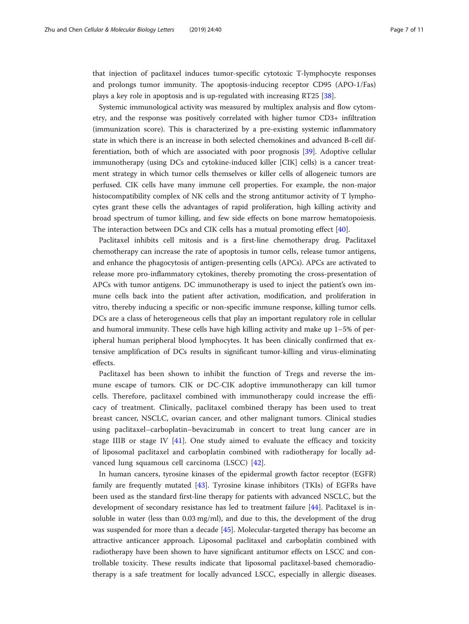that injection of paclitaxel induces tumor-specific cytotoxic T-lymphocyte responses and prolongs tumor immunity. The apoptosis-inducing receptor CD95 (APO-1/Fas) plays a key role in apoptosis and is up-regulated with increasing RT25 [\[38](#page-9-0)].

Systemic immunological activity was measured by multiplex analysis and flow cytometry, and the response was positively correlated with higher tumor CD3+ infiltration (immunization score). This is characterized by a pre-existing systemic inflammatory state in which there is an increase in both selected chemokines and advanced B-cell differentiation, both of which are associated with poor prognosis [\[39](#page-9-0)]. Adoptive cellular immunotherapy (using DCs and cytokine-induced killer [CIK] cells) is a cancer treatment strategy in which tumor cells themselves or killer cells of allogeneic tumors are perfused. CIK cells have many immune cell properties. For example, the non-major histocompatibility complex of NK cells and the strong antitumor activity of T lymphocytes grant these cells the advantages of rapid proliferation, high killing activity and broad spectrum of tumor killing, and few side effects on bone marrow hematopoiesis. The interaction between DCs and CIK cells has a mutual promoting effect [[40](#page-9-0)].

Paclitaxel inhibits cell mitosis and is a first-line chemotherapy drug. Paclitaxel chemotherapy can increase the rate of apoptosis in tumor cells, release tumor antigens, and enhance the phagocytosis of antigen-presenting cells (APCs). APCs are activated to release more pro-inflammatory cytokines, thereby promoting the cross-presentation of APCs with tumor antigens. DC immunotherapy is used to inject the patient's own immune cells back into the patient after activation, modification, and proliferation in vitro, thereby inducing a specific or non-specific immune response, killing tumor cells. DCs are a class of heterogeneous cells that play an important regulatory role in cellular and humoral immunity. These cells have high killing activity and make up 1–5% of peripheral human peripheral blood lymphocytes. It has been clinically confirmed that extensive amplification of DCs results in significant tumor-killing and virus-eliminating effects.

Paclitaxel has been shown to inhibit the function of Tregs and reverse the immune escape of tumors. CIK or DC-CIK adoptive immunotherapy can kill tumor cells. Therefore, paclitaxel combined with immunotherapy could increase the efficacy of treatment. Clinically, paclitaxel combined therapy has been used to treat breast cancer, NSCLC, ovarian cancer, and other malignant tumors. Clinical studies using paclitaxel–carboplatin–bevacizumab in concert to treat lung cancer are in stage IIIB or stage IV  $[41]$  $[41]$ . One study aimed to evaluate the efficacy and toxicity of liposomal paclitaxel and carboplatin combined with radiotherapy for locally advanced lung squamous cell carcinoma (LSCC) [[42\]](#page-9-0).

In human cancers, tyrosine kinases of the epidermal growth factor receptor (EGFR) family are frequently mutated [[43\]](#page-10-0). Tyrosine kinase inhibitors (TKIs) of EGFRs have been used as the standard first-line therapy for patients with advanced NSCLC, but the development of secondary resistance has led to treatment failure [[44\]](#page-10-0). Paclitaxel is insoluble in water (less than 0.03 mg/ml), and due to this, the development of the drug was suspended for more than a decade [[45](#page-10-0)]. Molecular-targeted therapy has become an attractive anticancer approach. Liposomal paclitaxel and carboplatin combined with radiotherapy have been shown to have significant antitumor effects on LSCC and controllable toxicity. These results indicate that liposomal paclitaxel-based chemoradiotherapy is a safe treatment for locally advanced LSCC, especially in allergic diseases.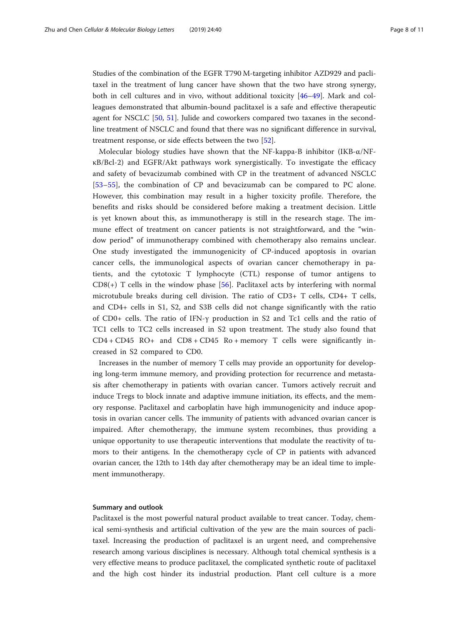Studies of the combination of the EGFR T790 M-targeting inhibitor AZD929 and paclitaxel in the treatment of lung cancer have shown that the two have strong synergy, both in cell cultures and in vivo, without additional toxicity [\[46](#page-10-0)–[49\]](#page-10-0). Mark and colleagues demonstrated that albumin-bound paclitaxel is a safe and effective therapeutic agent for NSCLC [\[50](#page-10-0), [51\]](#page-10-0). Julide and coworkers compared two taxanes in the secondline treatment of NSCLC and found that there was no significant difference in survival, treatment response, or side effects between the two [[52\]](#page-10-0).

Molecular biology studies have shown that the NF-kappa-B inhibitor (IKB- $\alpha$ /NFκB/Bcl-2) and EGFR/Akt pathways work synergistically. To investigate the efficacy and safety of bevacizumab combined with CP in the treatment of advanced NSCLC [[53](#page-10-0)–[55\]](#page-10-0), the combination of CP and bevacizumab can be compared to PC alone. However, this combination may result in a higher toxicity profile. Therefore, the benefits and risks should be considered before making a treatment decision. Little is yet known about this, as immunotherapy is still in the research stage. The immune effect of treatment on cancer patients is not straightforward, and the "window period" of immunotherapy combined with chemotherapy also remains unclear. One study investigated the immunogenicity of CP-induced apoptosis in ovarian cancer cells, the immunological aspects of ovarian cancer chemotherapy in patients, and the cytotoxic T lymphocyte (CTL) response of tumor antigens to  $CDS(+)$  T cells in the window phase [[56](#page-10-0)]. Paclitaxel acts by interfering with normal microtubule breaks during cell division. The ratio of CD3+ T cells, CD4+ T cells, and CD4+ cells in S1, S2, and S3B cells did not change significantly with the ratio of CD0+ cells. The ratio of IFN-γ production in S2 and Tc1 cells and the ratio of TC1 cells to TC2 cells increased in S2 upon treatment. The study also found that  $CD4 + CD45 \text{ RO} + \text{ and } CD8 + CD45 \text{ Ro} + \text{memory } T \text{ cells were significantly in}$ creased in S2 compared to CD0.

Increases in the number of memory T cells may provide an opportunity for developing long-term immune memory, and providing protection for recurrence and metastasis after chemotherapy in patients with ovarian cancer. Tumors actively recruit and induce Tregs to block innate and adaptive immune initiation, its effects, and the memory response. Paclitaxel and carboplatin have high immunogenicity and induce apoptosis in ovarian cancer cells. The immunity of patients with advanced ovarian cancer is impaired. After chemotherapy, the immune system recombines, thus providing a unique opportunity to use therapeutic interventions that modulate the reactivity of tumors to their antigens. In the chemotherapy cycle of CP in patients with advanced ovarian cancer, the 12th to 14th day after chemotherapy may be an ideal time to implement immunotherapy.

#### Summary and outlook

Paclitaxel is the most powerful natural product available to treat cancer. Today, chemical semi-synthesis and artificial cultivation of the yew are the main sources of paclitaxel. Increasing the production of paclitaxel is an urgent need, and comprehensive research among various disciplines is necessary. Although total chemical synthesis is a very effective means to produce paclitaxel, the complicated synthetic route of paclitaxel and the high cost hinder its industrial production. Plant cell culture is a more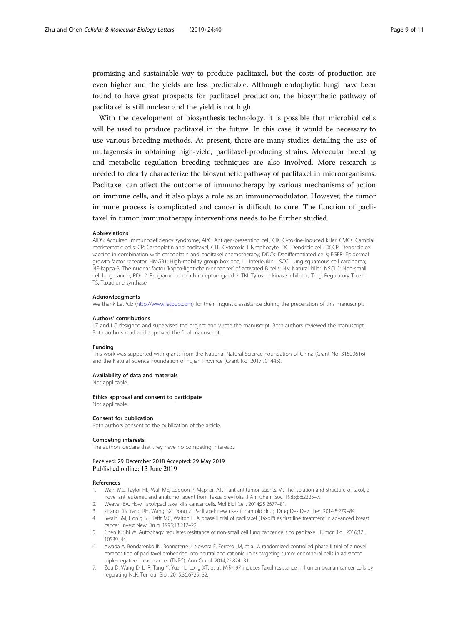<span id="page-8-0"></span>promising and sustainable way to produce paclitaxel, but the costs of production are even higher and the yields are less predictable. Although endophytic fungi have been found to have great prospects for paclitaxel production, the biosynthetic pathway of paclitaxel is still unclear and the yield is not high.

With the development of biosynthesis technology, it is possible that microbial cells will be used to produce paclitaxel in the future. In this case, it would be necessary to use various breeding methods. At present, there are many studies detailing the use of mutagenesis in obtaining high-yield, paclitaxel-producing strains. Molecular breeding and metabolic regulation breeding techniques are also involved. More research is needed to clearly characterize the biosynthetic pathway of paclitaxel in microorganisms. Paclitaxel can affect the outcome of immunotherapy by various mechanisms of action on immune cells, and it also plays a role as an immunomodulator. However, the tumor immune process is complicated and cancer is difficult to cure. The function of paclitaxel in tumor immunotherapy interventions needs to be further studied.

#### Abbreviations

AIDS: Acquired immunodeficiency syndrome; APC: Antigen-presenting cell; CIK: Cytokine-induced killer; CMCs: Cambial meristematic cells; CP: Carboplatin and paclitaxel; CTL: Cytotoxic T lymphocyte; DC: Dendritic cell; DCCP: Dendritic cell vaccine in combination with carboplatin and paclitaxel chemotherapy; DDCs: Dedifferentiated cells; EGFR: Epidermal growth factor receptor; HMGB1: High-mobility group box one; IL: Interleukin; LSCC: Lung squamous cell carcinoma; NF-kappa-B: The nuclear factor 'kappa-light-chain-enhancer' of activated B cells; NK: Natural killer; NSCLC: Non-small cell lung cancer; PD-L2: Programmed death receptor-ligand 2; TKI: Tyrosine kinase inhibitor; Treg: Regulatory T cell; TS: Taxadiene synthase

#### Acknowledgments

We thank LetPub (<http://www.letpub.com>) for their linguistic assistance during the preparation of this manuscript.

#### Authors' contributions

LZ and LC designed and supervised the project and wrote the manuscript. Both authors reviewed the manuscript. Both authors read and approved the final manuscript.

#### Funding

This work was supported with grants from the National Natural Science Foundation of China (Grant No. 31500616) and the Natural Science Foundation of Fujian Province (Grant No. 2017 J01445).

#### Availability of data and materials

Not applicable.

#### Ethics approval and consent to participate

Not applicable.

#### Consent for publication

Both authors consent to the publication of the article.

#### Competing interests

The authors declare that they have no competing interests.

# Received: 29 December 2018 Accepted: 29 May 2019

#### References

- 1. Wani MC, Taylor HL, Wall ME, Coggon P, Mcphail AT. Plant antitumor agents. VI. The isolation and structure of taxol, a novel antileukemic and antitumor agent from Taxus brevifolia. J Am Chem Soc. 1985;88:2325–7.
- 2. Weaver BA. How Taxol/paclitaxel kills cancer cells. Mol Biol Cell. 2014;25:2677–81.
- 3. Zhang DS, Yang RH, Wang SX, Dong Z. Paclitaxel: new uses for an old drug. Drug Des Dev Ther. 2014;8:279–84.
- 4. Swain SM, Honig SF, Tefft MC, Walton L. A phase II trial of paclitaxel (Taxol®) as first line treatment in advanced breast cancer. Invest New Drug. 1995;13:217–22.
- 5. Chen K, Shi W. Autophagy regulates resistance of non-small cell lung cancer cells to paclitaxel. Tumor Biol. 2016;37: 10539–44.
- 6. Awada A, Bondarenko IN, Bonneterre J, Nowara E, Ferrero JM, et al. A randomized controlled phase II trial of a novel composition of paclitaxel embedded into neutral and cationic lipids targeting tumor endothelial cells in advanced triple-negative breast cancer (TNBC). Ann Oncol. 2014;25:824–31.
- 7. Zou D, Wang D, Li R, Tang Y, Yuan L, Long XT, et al. MiR-197 induces Taxol resistance in human ovarian cancer cells by regulating NLK. Tumour Biol. 2015;36:6725–32.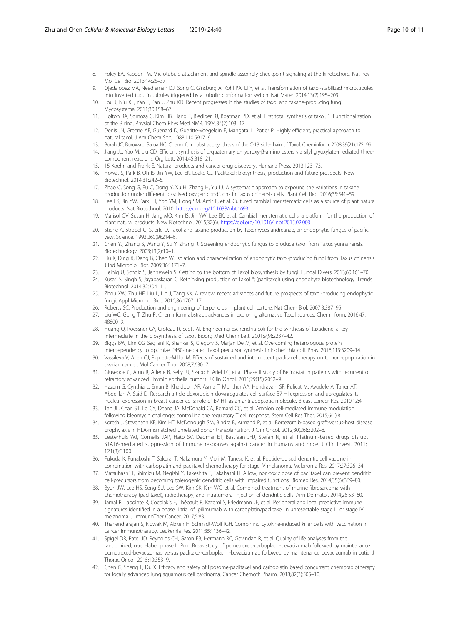- <span id="page-9-0"></span>8. Foley EA, Kapoor TM. Microtubule attachment and spindle assembly checkpoint signaling at the kinetochore. Nat Rev Mol Cell Bio. 2013;14:25–37.
- 9. Ojedalopez MA, Needleman DJ, Song C, Ginsburg A, Kohl PA, Li Y, et al. Transformation of taxol-stabilized microtubules into inverted tubulin tubules triggered by a tubulin conformation switch. Nat Mater. 2014;13(2):195–203.
- 10. Lou J, Niu XL, Yan F, Pan J, Zhu XD. Recent progresses in the studies of taxol and taxane-producing fungi. Mycosystema. 2011;30:158–67.
- 11. Holton RA, Somoza C, Kim HB, Liang F, Biediger RJ, Boatman PD, et al. First total synthesis of taxol. 1. Functionalization of the B ring. Physiol Chem Phys Med NMR. 1994;34(2):103–17.
- 12. Denis JN, Greene AE, Guenard D, Gueritte-Voegelein F, Mangatal L, Potier P. Highly efficient, practical approach to natural taxol. J Am Chem Soc. 1988;110:5917–9.
- 13. Borah JC, Boruwa J, Barua NC. ChemInform abstract: synthesis of the C-13 side-chain of Taxol. Cheminform. 2008;39(21):175–99.
- 14. Jiang JL, Yao M, Liu CD. Efficient synthesis of α-quaternary α-hydroxy-β-amino esters via silyl glyoxylate-mediated threecomponent reactions. Org Lett. 2014;45:318–21.
- 15. 15 Koehn and Frank E. Natural products and cancer drug discovery. Humana Press. 2013;123–73.
- 16. Howat S, Park B, Oh IS, Jin YW, Lee EK, Loake GJ. Paclitaxel: biosynthesis, production and future prospects. New Biotechnol. 2014;31:242–5.
- 17. Zhao C, Song G, Fu C, Dong Y, Xu H, Zhang H, Yu LJ. A systematic approach to expound the variations in taxane production under different dissolved oxygen conditions in Taxus chinensis cells. Plant Cell Rep. 2016;35:541–59.
- 18. Lee EK, Jin YW, Park JH, Yoo YM, Hong SM, Amir R, et al. Cultured cambial meristematic cells as a source of plant natural products. Nat Biotechnol. 2010. [https://doi.org/10.1038/nbt.1693.](https://doi.org/10.1038/nbt.1693)
- 19. Marisol OV, Susan H, Jang MO, Kim IS, Jin YW, Lee EK, et al. Cambial meristematic cells: a platform for the production of plant natural products. New Biotechnol. 2015;32(6). <https://doi.org/10.1016/j.nbt.2015.02.003>.
- 20. Stierle A, Strobel G, Stierle D. Taxol and taxane production by Taxomyces andreanae, an endophytic fungus of pacific yew. Science. 1993;260(9):214–6.
- 21. Chen YJ, Zhang S, Wang Y, Su Y, Zhang R. Screening endophytic fungus to produce taxol from Taxus yunnanensis. Biotechnology. 2003;13(2):10–1.
- 22. Liu K, Ding X, Deng B, Chen W. Isolation and characterization of endophytic taxol-producing fungi from Taxus chinensis. J Ind Microbiol Biot. 2009;36:1171–7.
- 23. Heinig U, Scholz S, Jennewein S. Getting to the bottom of Taxol biosynthesis by fungi. Fungal Divers. 2013;60:161–70.
- 24. Kusari S, Singh S, Jayabaskaran C. Rethinking production of Taxol ®; (paclitaxel) using endophyte biotechnology. Trends Biotechnol. 2014;32:304–11.
- 25. Zhou XW, Zhu HF, Liu L, Lin J, Tang KX. A review: recent advances and future prospects of taxol-producing endophytic fungi. Appl Microbiol Biot. 2010;86:1707–17.
- 26. Roberts SC. Production and engineering of terpenoids in plant cell culture. Nat Chem Biol. 2007;3:387–95.
- 27. Liu WC, Gong T, Zhu P. ChemInform abstract: advances in exploring alternative Taxol sources. Cheminform. 2016;47: 48800–9.
- 28. Huang Q, Roessner CA, Croteau R, Scott AI. Engineering Escherichia coli for the synthesis of taxadiene, a key intermediate in the biosynthesis of taxol. Bioorg Med Chem Lett. 2001;9(9):2237–42.
- 29. Biggs BW, Lim CG, Sagliani K, Shankar S, Gregory S, Marjan De M, et al. Overcoming heterologous protein interdependency to optimize P450-mediated Taxol precursor synthesis in Escherichia coli. Pnas. 2016;113:3209–14.
- 30. Vassileva V, Allen CJ, Piquette-Miller M. Effects of sustained and intermittent paclitaxel therapy on tumor repopulation in ovarian cancer. Mol Cancer Ther. 2008;7:630–7.
- 31. Giuseppe G, Arun R, Arlene B, Kelly RJ, Szabo E, Ariel LC, et al. Phase II study of Belinostat in patients with recurrent or refractory advanced Thymic epithelial tumors. J Clin Oncol. 2011;29(15):2052–9.
- 32. Hazem G, Cynthia L, Eman B, Khaldoon AR, Asma T, Monther AA, Hendrayani SF, Pulicat M, Ayodele A, Taher AT, Abdelilah A, Said D. Research article doxorubicin downregulates cell surface B7-H1expression and upregulates its nuclear expression in breast cancer cells: role of B7-H1 as an anti-apoptotic molecule. Breast Cancer Res. 2010;12:4.
- 33. Tan JL, Chan ST, Lo CY, Deane JA, McDonald CA, Bernard CC, et al. Amnion cell-mediated immune modulation following bleomycin challenge: controlling the regulatory T cell response. Stem Cell Res Ther. 2015;6(1):8.
- 34. Koreth J, Stevenson KE, Kim HT, McDonough SM, Bindra B, Armand P, et al. Bortezomib-based graft-versus-host disease prophylaxis in HLA-mismatched unrelated donor transplantation. J Clin Oncol. 2012;30(26):3202–8.
- 35. Lesterhuis WJ, Cornelis JAP, Hato SV, Dagmar ET, Bastiaan JHJ, Stefan N, et al. Platinum-based drugs disrupt STAT6-mediated suppression of immune responses against cancer in humans and mice. J Clin Invest. 2011; 121(8):3100.
- 36. Fukuda K, Funakoshi T, Sakurai T, Nakamura Y, Mori M, Tanese K, et al. Peptide-pulsed dendritic cell vaccine in combination with carboplatin and paclitaxel chemotherapy for stage IV melanoma. Melanoma Res. 2017;27:326–34.
- 37. Matsuhashi T, Shimizu M, Negishi Y, Takeshita T, Takahashi H. A low, non-toxic dose of paclitaxel can prevent dendritic cell-precursors from becoming tolerogenic dendritic cells with impaired functions. Biomed Res. 2014;35(6):369–80.
- 38. Byun JW, Lee HS, Song SU, Lee SW, Kim SK, Kim WC, et al. Combined treatment of murine fibrosarcoma with chemotherapy (paclitaxel), radiotherapy, and intratumoral injection of dendritic cells. Ann Dermatol. 2014;26:53–60.
- 39. Jamal R, Lapointe R, Cocolakis E, Thébault P, Kazemi S, Friedmann JE, et al. Peripheral and local predictive immune signatures identified in a phase II trial of ipilimumab with carboplatin/paclitaxel in unresectable stage III or stage IV melanoma. J ImmunoTher Cancer. 2017;5:83.
- 40. Thanendrarajan S, Nowak M, Abken H, Schmidt-Wolf IGH. Combining cytokine-induced killer cells with vaccination in cancer immunotherapy. Leukemia Res. 2011;35:1136–42.
- 41. Spigel DR, Patel JD, Reynolds CH, Garon EB, Hermann RC, Govindan R, et al. Quality of life analyses from the randomized, open-label, phase III PointBreak study of pemetrexed-carboplatin-bevacizumab followed by maintenance pemetrexed-bevacizumab versus paclitaxel-carboplatin -bevacizumab followed by maintenance bevacizumab in patie. J Thorac Oncol. 2015;10:353–9.
- 42. Chen G, Sheng L, Du X. Efficacy and safety of liposome-paclitaxel and carboplatin based concurrent chemoradiotherapy for locally advanced lung squamous cell carcinoma. Cancer Chemoth Pharm. 2018;82(3):505–10.